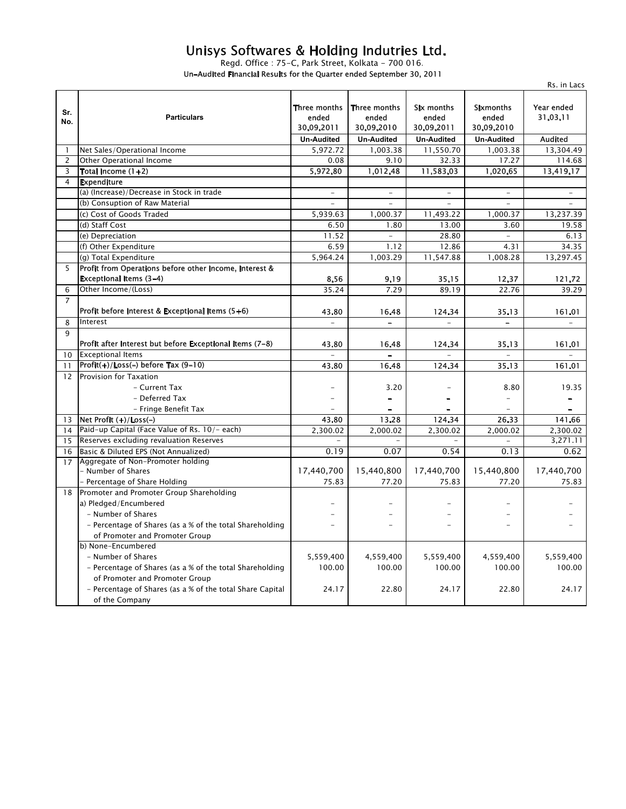## Unisys Softwares & Holding Indutries Ltd.

Regd. Office : 75–C, Park Street, Kolkata – 700 016. Un-Audited Financial Results for the Quarter ended September 30, 2011

|                |                                                           |                                     |                                     |                                   |                                         | Rs. in Lacs              |
|----------------|-----------------------------------------------------------|-------------------------------------|-------------------------------------|-----------------------------------|-----------------------------------------|--------------------------|
| Sr.<br>No.     | <b>Particulars</b>                                        | Three months<br>ended<br>30.09.2011 | Three months<br>ended<br>30.09.2010 | Six months<br>ended<br>30.09.2011 | <b>Sixmonths</b><br>ended<br>30.09.2010 | Year ended<br>31.03.11   |
|                |                                                           | <b>Un-Audited</b>                   | <b>Un-Audited</b>                   | <b>Un-Audited</b>                 | <b>Un-Audited</b>                       | <b>Audited</b>           |
| -1             | Net Sales/Operational Income                              | 5,972.72                            | 1,003.38                            | 11,550.70                         | 1,003.38                                | 13,304.49                |
| 2              | <b>Other Operational Income</b>                           | 0.08                                | 9.10                                | 32.33                             | 17.27                                   | 114.68                   |
| 3              | Total Income (1+2)                                        | 5,972.80                            | 1,012.48                            | 11,583.03                         | 1,020.65                                | 13,419.17                |
| 4              | <b>Expenditure</b>                                        |                                     |                                     |                                   |                                         |                          |
|                | (a) (Increase)/Decrease in Stock in trade                 | $\overline{\phantom{0}}$            | $\overline{\phantom{0}}$            |                                   |                                         |                          |
|                | (b) Consuption of Raw Material                            |                                     |                                     |                                   |                                         |                          |
|                | (c) Cost of Goods Traded                                  | 5,939.63                            | 1,000.37                            | 11,493.22                         | 1,000.37                                | 13,237.39                |
|                | (d) Staff Cost                                            | 6.50                                | 1.80                                | 13.00                             | 3.60                                    | 19.58                    |
|                | (e) Depreciation                                          | 11.52                               | $\overline{a}$                      | 28.80                             | $\equiv$                                | 6.13                     |
|                | (f) Other Expenditure                                     | 6.59                                | 1.12                                | 12.86                             | 4.31                                    | 34.35                    |
|                | (g) Total Expenditure                                     | 5,964.24                            | 1,003.29                            | 11,547.88                         | 1,008.28                                | 13,297.45                |
| 5              | Profit from Operations before other Income, Interest &    |                                     |                                     |                                   |                                         |                          |
|                | Exceptional Items (3-4)                                   | 8.56                                | 9.19                                | 35.15                             | 12.37                                   | 121.72                   |
| 6              | Other Income/(Loss)                                       | 35.24                               | 7.29                                | 89.19                             | 22.76                                   | 39.29                    |
| $\overline{7}$ |                                                           |                                     |                                     |                                   |                                         |                          |
|                | Profit before Interest & Exceptional Items (5+6)          | 43.80                               | 16.48                               | 124.34                            | 35.13                                   | 161.01                   |
| 8              | Interest                                                  |                                     |                                     |                                   |                                         |                          |
| $\mathsf q$    |                                                           |                                     |                                     |                                   |                                         |                          |
|                | Profit after Interest but before Exceptional Items (7-8)  | 43.80                               | 16.48                               | 124.34                            | 35.13                                   | 161.01                   |
| 10             | <b>Exceptional Items</b>                                  |                                     |                                     |                                   |                                         |                          |
| 11             | Profit(+)/Loss(-) before Tax (9-10)                       | 43.80                               | 16.48                               | 124.34                            | 35.13                                   | 161.01                   |
| 12             | Provision for Taxation                                    |                                     |                                     |                                   |                                         |                          |
|                | - Current Tax                                             |                                     | 3.20                                |                                   | 8.80                                    | 19.35                    |
|                | - Deferred Tax                                            |                                     | $\qquad \qquad -$                   | $\overline{\phantom{0}}$          |                                         |                          |
|                | - Fringe Benefit Tax                                      |                                     | $\overline{\phantom{0}}$            | $\equiv$                          | $\overline{\phantom{0}}$                | $\overline{\phantom{0}}$ |
| 13             | Net Profit (+)/Loss(-)                                    | 43.80                               | 13.28                               | 124.34                            | 26.33                                   | 141.66                   |
| 14             | Paid-up Capital (Face Value of Rs. 10/- each)             | 2.300.02                            | 2.000.02                            | 2.300.02                          | 2.000.02                                | 2,300.02                 |
| 15             | Reserves excluding revaluation Reserves                   |                                     |                                     |                                   |                                         | 3,271.11                 |
| 16             | Basic & Diluted EPS (Not Annualized)                      | 0.19                                | 0.07                                | 0.54                              | 0.13                                    | 0.62                     |
| 17             | Aggregate of Non-Promoter holding                         |                                     |                                     |                                   |                                         |                          |
|                | - Number of Shares                                        | 17,440,700                          | 15,440,800                          | 17,440,700                        | 15,440,800                              | 17,440,700               |
|                | - Percentage of Share Holding                             | 75.83                               | 77.20                               | 75.83                             | 77.20                                   | 75.83                    |
| 18             | Promoter and Promoter Group Shareholding                  |                                     |                                     |                                   |                                         |                          |
|                | a) Pledged/Encumbered                                     |                                     |                                     |                                   |                                         |                          |
|                | - Number of Shares                                        |                                     |                                     |                                   |                                         |                          |
|                | - Percentage of Shares (as a % of the total Shareholding  | $\overline{a}$                      |                                     | $\overline{a}$                    |                                         |                          |
|                | of Promoter and Promoter Group                            |                                     |                                     |                                   |                                         |                          |
|                | b) None-Encumbered                                        |                                     |                                     |                                   |                                         |                          |
|                | - Number of Shares                                        | 5,559,400                           | 4,559,400                           | 5,559,400                         | 4,559,400                               | 5,559,400                |
|                | - Percentage of Shares (as a % of the total Shareholding  | 100.00                              | 100.00                              | 100.00                            | 100.00                                  | 100.00                   |
|                | of Promoter and Promoter Group                            |                                     |                                     |                                   |                                         |                          |
|                | - Percentage of Shares (as a % of the total Share Capital | 24.17                               | 22.80                               | 24.17                             | 22.80                                   | 24.17                    |
|                | of the Company                                            |                                     |                                     |                                   |                                         |                          |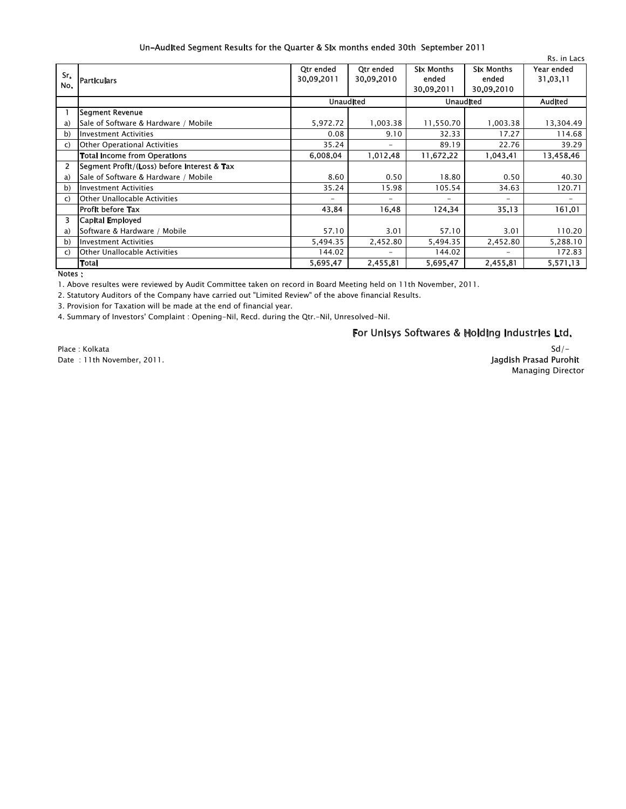### Un-Audited Segment Results for the Quarter & Six months ended 30th September 2011

| Sr.<br>No.     | <b>Particulars</b>                          | <b>Qtr</b> ended<br>30.09.2011 | <b>Qtr</b> ended<br>30.09.2010 | <b>Six Months</b><br>ended<br>30.09.2011 | <b>Six Months</b><br>ended<br>30.09.2010 | Rs. in Lacs<br>Year ended<br>31.03.11 |
|----------------|---------------------------------------------|--------------------------------|--------------------------------|------------------------------------------|------------------------------------------|---------------------------------------|
|                |                                             | <b>Unaudited</b>               |                                | <b>Unaudited</b>                         |                                          | <b>Audited</b>                        |
|                | Segment Revenue                             |                                |                                |                                          |                                          |                                       |
| a)             | Sale of Software & Hardware / Mobile        | 5,972.72                       | 1,003.38                       | 11,550.70                                | 1,003.38                                 | 13,304.49                             |
| b)             | Investment Activities                       | 0.08                           | 9.10                           | 32.33                                    | 17.27                                    | 114.68                                |
| C)             | Other Operational Activities                | 35.24                          | $\overline{\phantom{0}}$       | 89.19                                    | 22.76                                    | 39.29                                 |
|                | <b>Total Income from Operations</b>         | 6,008.04                       | 1,012.48                       | 11,672.22                                | 1.043.41                                 | 13,458.46                             |
| $\overline{2}$ | Segment Profit/(Loss) before Interest & Tax |                                |                                |                                          |                                          |                                       |
| a)             | Sale of Software & Hardware / Mobile        | 8.60                           | 0.50                           | 18.80                                    | 0.50                                     | 40.30                                 |
| b)             | <b>Investment Activities</b>                | 35.24                          | 15.98                          | 105.54                                   | 34.63                                    | 120.71                                |
| $\mathsf{C}$   | <b>Other Unallocable Activities</b>         | $\overline{\phantom{0}}$       | Ξ.                             | $\overline{\phantom{0}}$                 |                                          |                                       |
|                | Profit before Tax                           | 43.84                          | 16.48                          | 124.34                                   | 35.13                                    | 161.01                                |
| 3.             | Capital Employed                            |                                |                                |                                          |                                          |                                       |
| a)             | Software & Hardware / Mobile                | 57.10                          | 3.01                           | 57.10                                    | 3.01                                     | 110.20                                |
| b)             | Investment Activities                       | 5,494.35                       | 2,452.80                       | 5,494.35                                 | 2,452.80                                 | 5,288.10                              |
| C)             | <b>Other Unallocable Activities</b>         | 144.02                         | $\overline{\phantom{0}}$       | 144.02                                   |                                          | 172.83                                |
|                | Total                                       | 5,695.47                       | 2,455.81                       | 5,695.47                                 | 2,455.81                                 | 5.571.13                              |

Notes :

1. Above resultes were reviewed by Audit Committee taken on record in Board Meeting held on 11th November, 2011.

2. Statutory Auditors of the Company have carried out "Limited Review"of the above financial Results.

3. Provision for Taxation will be made at the end of financial year.

4. Summary of Investors' Complaint : Opening-Nil, Recd. during the Qtr.-Nil, Unresolved-Nil.

## For Unisys Softwares & Holding Industries Ltd.

Place : Kolkata Date : 11th November, 2011.

#### Managing Director  $Sd/-$ Jagdish Prasad Purohit